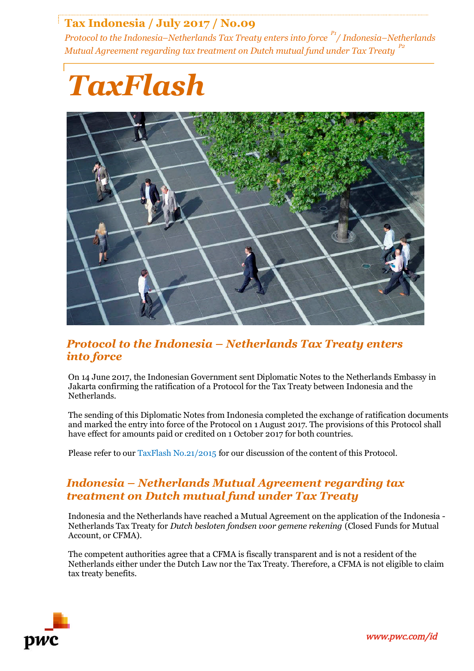# **Tax Indonesia / July 2017 / No.09**

*Protocol to the Indonesia–Netherlands Tax Treaty enters into force P1/ Indonesia–Netherlands Mutual Agreement regarding tax treatment on Dutch mutual fund under Tax Treaty P2*



### *Protocol to the Indonesia – Netherlands Tax Treaty enters into force*

On 14 June 2017, the Indonesian Government sent Diplomatic Notes to the Netherlands Embassy in Jakarta confirming the ratification of a Protocol for the Tax Treaty between Indonesia and the Netherlands.

The sending of this Diplomatic Notes from Indonesia completed the exchange of ratification documents and marked the entry into force of the Protocol on 1 August 2017. The provisions of this Protocol shall have effect for amounts paid or credited on 1 October 2017 for both countries.

Please refer to our [TaxFlash No.21/2015](https://www.pwc.com/id/en/taxflash/assets/english/2015/taxflash-2015-21.pdf) for our discussion of the content of this Protocol.

## *Indonesia – Netherlands Mutual Agreement regarding tax treatment on Dutch mutual fund under Tax Treaty*

Indonesia and the Netherlands have reached a Mutual Agreement on the application of the Indonesia - Netherlands Tax Treaty for *Dutch besloten fondsen voor gemene rekening* (Closed Funds for Mutual Account, or CFMA).

The competent authorities agree that a CFMA is fiscally transparent and is not a resident of the Netherlands either under the Dutch Law nor the Tax Treaty. Therefore, a CFMA is not eligible to claim tax treaty benefits.

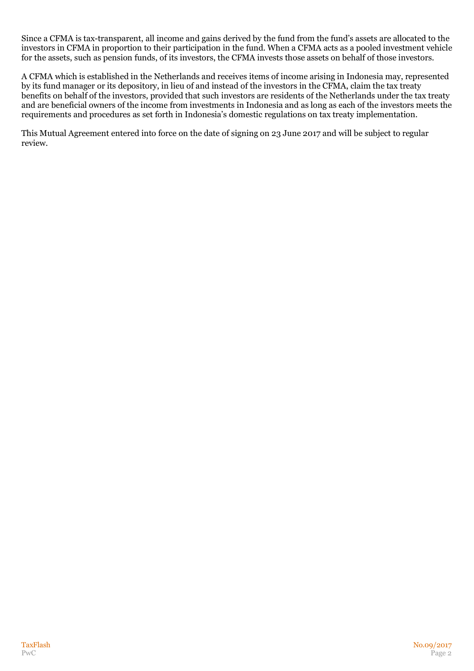Since a CFMA is tax-transparent, all income and gains derived by the fund from the fund's assets are allocated to the investors in CFMA in proportion to their participation in the fund. When a CFMA acts as a pooled investment vehicle for the assets, such as pension funds, of its investors, the CFMA invests those assets on behalf of those investors.

A CFMA which is established in the Netherlands and receives items of income arising in Indonesia may, represented by its fund manager or its depository, in lieu of and instead of the investors in the CFMA, claim the tax treaty benefits on behalf of the investors, provided that such investors are residents of the Netherlands under the tax treaty and are beneficial owners of the income from investments in Indonesia and as long as each of the investors meets the requirements and procedures as set forth in Indonesia's domestic regulations on tax treaty implementation.

This Mutual Agreement entered into force on the date of signing on 23 June 2017 and will be subject to regular review.